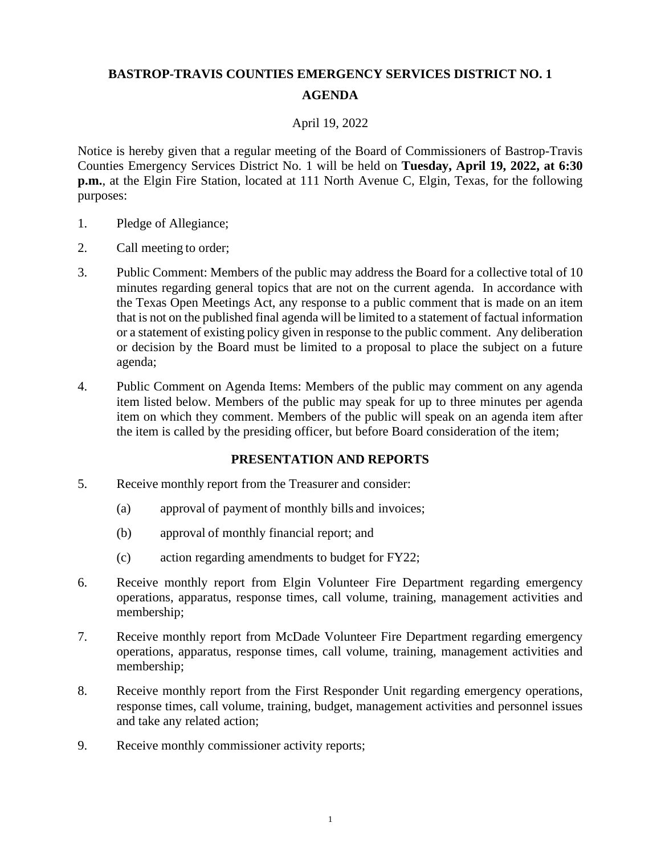# **BASTROP-TRAVIS COUNTIES EMERGENCY SERVICES DISTRICT NO. 1 AGENDA**

### April 19, 2022

Notice is hereby given that a regular meeting of the Board of Commissioners of Bastrop-Travis Counties Emergency Services District No. 1 will be held on **Tuesday, April 19, 2022, at 6:30 p.m.**, at the Elgin Fire Station, located at 111 North Avenue C, Elgin, Texas, for the following purposes:

- 1. Pledge of Allegiance;
- 2. Call meeting to order;
- 3. Public Comment: Members of the public may address the Board for a collective total of 10 minutes regarding general topics that are not on the current agenda. In accordance with the Texas Open Meetings Act, any response to a public comment that is made on an item that is not on the published final agenda will be limited to a statement of factual information or a statement of existing policy given in response to the public comment. Any deliberation or decision by the Board must be limited to a proposal to place the subject on a future agenda;
- 4. Public Comment on Agenda Items: Members of the public may comment on any agenda item listed below. Members of the public may speak for up to three minutes per agenda item on which they comment. Members of the public will speak on an agenda item after the item is called by the presiding officer, but before Board consideration of the item;

#### **PRESENTATION AND REPORTS**

- 5. Receive monthly report from the Treasurer and consider:
	- (a) approval of payment of monthly bills and invoices;
	- (b) approval of monthly financial report; and
	- (c) action regarding amendments to budget for FY22;
- 6. Receive monthly report from Elgin Volunteer Fire Department regarding emergency operations, apparatus, response times, call volume, training, management activities and membership;
- 7. Receive monthly report from McDade Volunteer Fire Department regarding emergency operations, apparatus, response times, call volume, training, management activities and membership;
- 8. Receive monthly report from the First Responder Unit regarding emergency operations, response times, call volume, training, budget, management activities and personnel issues and take any related action;
- 9. Receive monthly commissioner activity reports;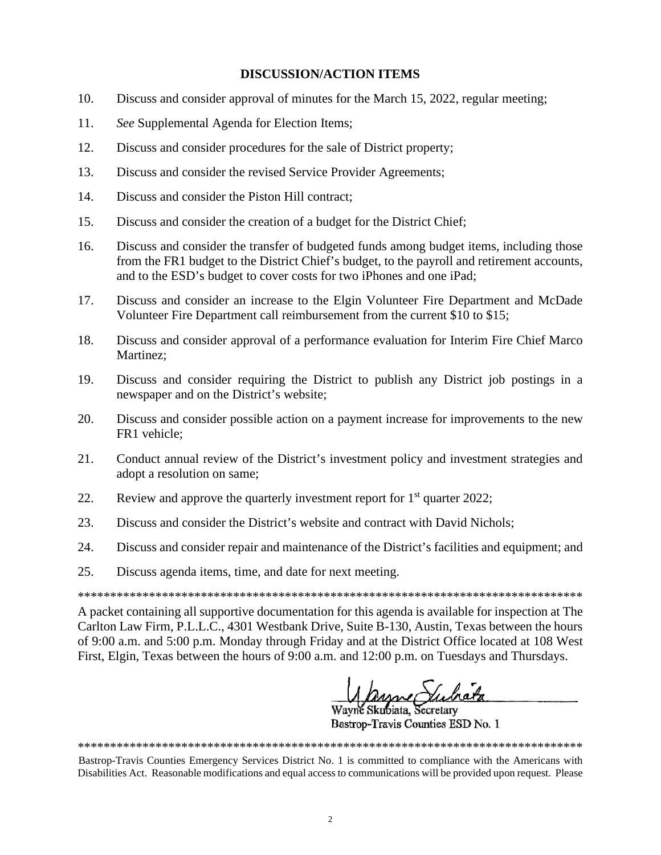#### **DISCUSSION/ACTION ITEMS**

- 10. Discuss and consider approval of minutes for the March 15, 2022, regular meeting;
- 11. *See* Supplemental Agenda for Election Items;
- 12. Discuss and consider procedures for the sale of District property;
- 13. Discuss and consider the revised Service Provider Agreements;
- 14. Discuss and consider the Piston Hill contract;
- 15. Discuss and consider the creation of a budget for the District Chief;
- 16. Discuss and consider the transfer of budgeted funds among budget items, including those from the FR1 budget to the District Chief's budget, to the payroll and retirement accounts, and to the ESD's budget to cover costs for two iPhones and one iPad;
- 17. Discuss and consider an increase to the Elgin Volunteer Fire Department and McDade Volunteer Fire Department call reimbursement from the current \$10 to \$15;
- 18. Discuss and consider approval of a performance evaluation for Interim Fire Chief Marco Martinez;
- 19. Discuss and consider requiring the District to publish any District job postings in a newspaper and on the District's website;
- 20. Discuss and consider possible action on a payment increase for improvements to the new FR1 vehicle;
- 21. Conduct annual review of the District's investment policy and investment strategies and adopt a resolution on same;
- 22. Review and approve the quarterly investment report for  $1<sup>st</sup>$  quarter 2022;
- 23. Discuss and consider the District's website and contract with David Nichols;
- 24. Discuss and consider repair and maintenance of the District's facilities and equipment; and
- 25. Discuss agenda items, time, and date for next meeting.

\*\*\*\*\*\*\*\*\*\*\*\*\*\*\*\*\*\*\*\*\*\*\*\*\*\*\*\*\*\*\*\*\*\*\*\*\*\*\*\*\*\*\*\*\*\*\*\*\*\*\*\*\*\*\*\*\*\*\*\*\*\*\*\*\*\*\*\*\*\*\*\*\*\*\*\*\*\*

A packet containing all supportive documentation for this agenda is available for inspection at The Carlton Law Firm, P.L.L.C., 4301 Westbank Drive, Suite B-130, Austin, Texas between the hours of 9:00 a.m. and 5:00 p.m. Monday through Friday and at the District Office located at 108 West First, Elgin, Texas between the hours of 9:00 a.m. and 12:00 p.m. on Tuesdays and Thursdays.

<u>Mayne Suchata</u><br>Wayne Skubiata, Secretary

Bastrop-Travis Counties ESD No. 1

Bastrop-Travis Counties Emergency Services District No. 1 is committed to compliance with the Americans with Disabilities Act. Reasonable modifications and equal access to communications will be provided upon request. Please

\*\*\*\*\*\*\*\*\*\*\*\*\*\*\*\*\*\*\*\*\*\*\*\*\*\*\*\*\*\*\*\*\*\*\*\*\*\*\*\*\*\*\*\*\*\*\*\*\*\*\*\*\*\*\*\*\*\*\*\*\*\*\*\*\*\*\*\*\*\*\*\*\*\*\*\*\*\*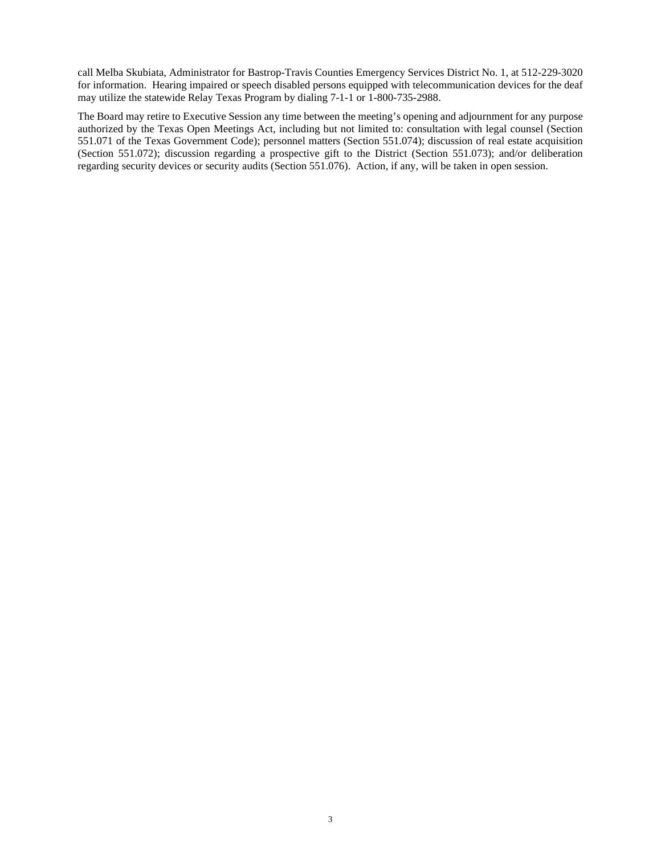call Melba Skubiata, Administrator for Bastrop-Travis Counties Emergency Services District No. 1, at 512-229-3020 for information. Hearing impaired or speech disabled persons equipped with telecommunication devices for the deaf may utilize the statewide Relay Texas Program by dialing 7-1-1 or 1-800-735-2988.

The Board may retire to Executive Session any time between the meeting's opening and adjournment for any purpose authorized by the Texas Open Meetings Act, including but not limited to: consultation with legal counsel (Section 551.071 of the Texas Government Code); personnel matters (Section 551.074); discussion of real estate acquisition (Section 551.072); discussion regarding a prospective gift to the District (Section 551.073); and/or deliberation regarding security devices or security audits (Section 551.076). Action, if any, will be taken in open session.